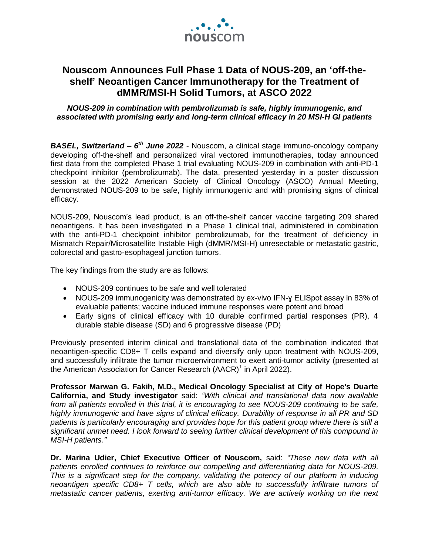

# **Nouscom Announces Full Phase 1 Data of NOUS-209, an 'off-theshelf' Neoantigen Cancer Immunotherapy for the Treatment of dMMR/MSI-H Solid Tumors, at ASCO 2022**

## *NOUS-209 in combination with pembrolizumab is safe, highly immunogenic, and associated with promising early and long-term clinical efficacy in 20 MSI-H GI patients*

*BASEL, Switzerland – 6 th June 2022* - Nouscom, a clinical stage immuno-oncology company developing off-the-shelf and personalized viral vectored immunotherapies, today announced first data from the completed Phase 1 trial evaluating NOUS-209 in combination with anti-PD-1 checkpoint inhibitor (pembrolizumab). The data, presented yesterday in a poster discussion session at the 2022 American Society of Clinical Oncology (ASCO) Annual Meeting, demonstrated NOUS-209 to be safe, highly immunogenic and with promising signs of clinical efficacy.

NOUS-209, Nouscom's lead product, is an off-the-shelf cancer vaccine targeting 209 shared neoantigens. It has been investigated in a Phase 1 clinical trial, administered in combination with the anti-PD-1 checkpoint inhibitor pembrolizumab, for the treatment of deficiency in Mismatch Repair/Microsatellite Instable High (dMMR/MSI-H) unresectable or metastatic gastric, colorectal and gastro-esophageal junction tumors.

The key findings from the study are as follows:

- NOUS-209 continues to be safe and well tolerated
- NOUS-209 immunogenicity was demonstrated by ex-vivo IFN-ɣ ELISpot assay in 83% of evaluable patients; vaccine induced immune responses were potent and broad
- Early signs of clinical efficacy with 10 durable confirmed partial responses (PR), 4 durable stable disease (SD) and 6 progressive disease (PD)

Previously presented interim clinical and translational data of the combination indicated that neoantigen-specific CD8+ T cells expand and diversify only upon treatment with NOUS-209, and successfully infiltrate the tumor microenvironment to exert anti-tumor activity (presented at the American Association for Cancer Research (AACR)<sup>1</sup> in April 2022).

**Professor Marwan G. Fakih, M.D., Medical Oncology Specialist at City of Hope's Duarte California, and Study investigator** said: *"With clinical and translational data now available from all patients enrolled in this trial, it is encouraging to see NOUS-209 continuing to be safe, highly immunogenic and have signs of clinical efficacy. Durability of response in all PR and SD patients is particularly encouraging and provides hope for this patient group where there is still a significant unmet need. I look forward to seeing further clinical development of this compound in MSI-H patients."* 

**Dr. Marina Udier, Chief Executive Officer of Nouscom,** said: *"These new data with all patients enrolled continues to reinforce our compelling and differentiating data for NOUS-209. This is a significant step for the company, validating the potency of our platform in inducing neoantigen specific CD8+ T cells, which are also able to successfully infiltrate tumors of metastatic cancer patients, exerting anti-tumor efficacy. We are actively working on the next*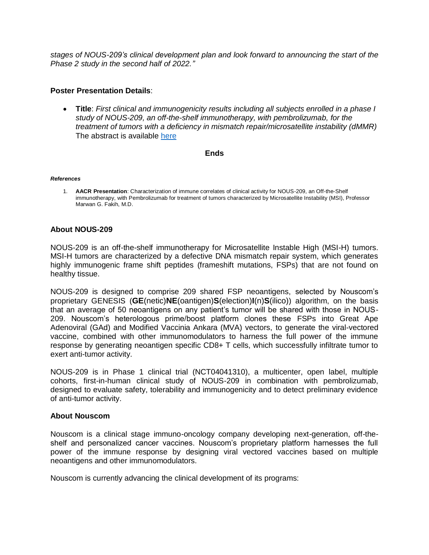*stages of NOUS-209's clinical development plan and look forward to announcing the start of the Phase 2 study in the second half of 2022."* 

## **Poster Presentation Details**:

 **Title**: *First clinical and immunogenicity results including all subjects enrolled in a phase I study of NOUS-209, an off-the-shelf immunotherapy, with pembrolizumab, for the treatment of tumors with a deficiency in mismatch repair/microsatellite instability (dMMR)* The abstract is available [here](https://meetings.asco.org/abstracts-presentations/207598)

### **Ends**

#### *References*

1. **AACR Presentation**: Characterization of immune correlates of clinical activity for NOUS-209, an Off-the-Shelf immunotherapy, with Pembrolizumab for treatment of tumors characterized by Microsatellite Instability (MSI), Professor Marwan G. Fakih, M.D.

## **About NOUS-209**

NOUS-209 is an off-the-shelf immunotherapy for Microsatellite Instable High (MSI-H) tumors. MSI-H tumors are characterized by a defective DNA mismatch repair system, which generates highly immunogenic frame shift peptides (frameshift mutations, FSPs) that are not found on healthy tissue.

NOUS-209 is designed to comprise 209 shared FSP neoantigens, selected by Nouscom's proprietary GENESIS (**GE**(netic)**NE**(oantigen)**S**(election)**I**(n)**S**(ilico)) algorithm, on the basis that an average of 50 neoantigens on any patient's tumor will be shared with those in NOUS-209. Nouscom's heterologous prime/boost platform clones these FSPs into Great Ape Adenoviral (GAd) and Modified Vaccinia Ankara (MVA) vectors, to generate the viral-vectored vaccine, combined with other immunomodulators to harness the full power of the immune response by generating neoantigen specific CD8+ T cells, which successfully infiltrate tumor to exert anti-tumor activity.

NOUS-209 is in Phase 1 clinical trial (NCT04041310), a multicenter, open label, multiple cohorts, first-in-human clinical study of NOUS-209 in combination with pembrolizumab, designed to evaluate safety, tolerability and immunogenicity and to detect preliminary evidence of anti-tumor activity.

### **About Nouscom**

Nouscom is a clinical stage immuno-oncology company developing next-generation, off-theshelf and personalized cancer vaccines. Nouscom's proprietary platform harnesses the full power of the immune response by designing viral vectored vaccines based on multiple neoantigens and other immunomodulators.

Nouscom is currently advancing the clinical development of its programs: